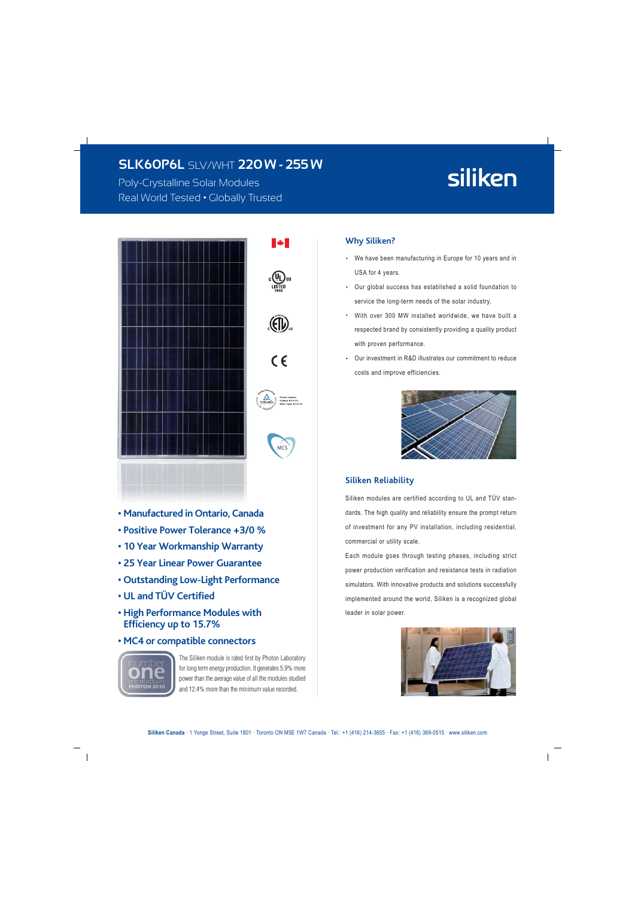## **SLK6OP6L SLV/WHT 220W - 255W**

Poly-Crystalline Solar Modules Real World Tested . Globally Trusted

# siliken







#### • Manufactured in Ontario, Canada

- Positive Power Tolerance +3/0 %
- 10 Year Workmanship Warranty
- 25 Year Linear Power Guarantee
- Outstanding Low-Light Performance
- . UI and TÜV Certified
- High Performance Modules with **Efficiency up to 15.7%**
- MC4 or compatible connectors



The Siliken module is rated first by Photon Laboratory for long term energy production. It generates 5.9% more power than the average value of all the modules studied and 12.4% more than the minimum value recorded.

#### **Why Siliken?**

- We have been manufacturing in Europe for 10 years and in USA for 4 years.
- Our global success has established a solid foundation to service the long-term needs of the solar industry.
- With over 300 MW installed worldwide, we have built a respected brand by consistently providing a quality product with proven performance.
- $\bullet$ Our investment in R&D illustrates our commitment to reduce costs and improve efficiencies.



#### **Siliken Reliability**

Siliken modules are certified according to UL and TÜV standards. The high quality and reliability ensure the prompt return of investment for any PV installation, including residential, commercial or utility scale.

Each module goes through testing phases, including strict power production verification and resistance tests in radiation simulators. With innovative products and solutions successfully implemented around the world, Siliken is a recognized global leader in solar power.